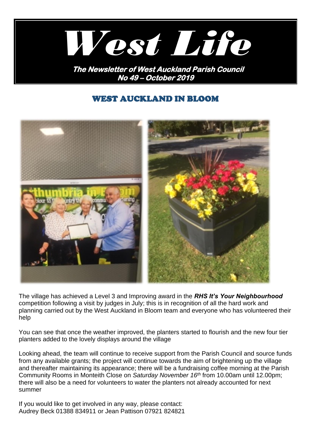

**No 49 – October 2019** 

# WEST AUCKLAND IN BLOOM



The village has achieved a Level 3 and Improving award in the *RHS It's Your Neighbourhood*  competition following a visit by judges in July; this is in recognition of all the hard work and planning carried out by the West Auckland in Bloom team and everyone who has volunteered their help

You can see that once the weather improved, the planters started to flourish and the new four tier planters added to the lovely displays around the village

Looking ahead, the team will continue to receive support from the Parish Council and source funds from any available grants; the project will continue towards the aim of brightening up the village and thereafter maintaining its appearance; there will be a fundraising coffee morning at the Parish Community Rooms in Monteith Close on *Saturday November 16 th* from 10.00am until 12.00pm; there will also be a need for volunteers to water the planters not already accounted for next summer

If you would like to get involved in any way, please contact: Audrey Beck 01388 834911 or Jean Pattison 07921 824821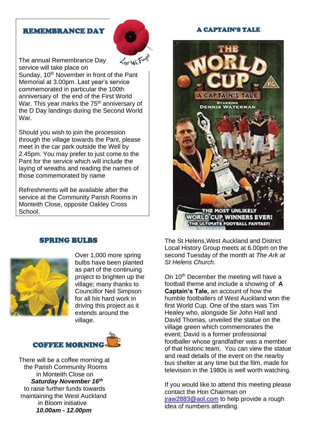### REMEMBRANCE DAY



The annual Remembrance Day service will take place on

Sunday, 10<sup>th</sup> November in front of the Pant Memorial at 3.00pm. Last year's service commemorated in particular the 100th anniversary of the end of the First World War. This year marks the 75<sup>th</sup> anniversary of the D Day landings during the Second World War.

Should you wish to join the procession through the village towards the Pant, please meet in the car park outside the Well by 2.45pm. You may prefer to just come to the Pant for the service which will include the laying of wreaths and reading the names of those commemorated by name

Refreshments will be available after the service at the Community Parish Rooms in Monteith Close, opposite Oakley Cross School.

## SPRING BULBS



Over 1,000 more spring bulbs have been planted as part of the continuing project to brighten up the village; many thanks to Councillor Neil Simpson for all his hard work in driving this project as it extends around the village.



There will be a coffee morning at the Parish Community Rooms in Monteith Close on  *Saturday November 16th* to raise further funds towards maintaining the West Auckland in Bloom initiative  *10.00am - 12.00pm*

### A CAPTAIN'S TALE



The St Helens,West Auckland and District Local History Group meets at 6.00pm on the second Tuesday of the month at *The Ark at St Helens Church.*

On 10<sup>th</sup> December the meeting will have a football theme and include a showing of **A Captain's Tale,** an account of how the humble footballers of West Auckland won the first World Cup. One of the stars was Tim Healey who, alongside Sir John Hall and David Thomas, unveiled the statue on the village green which commemorates the event; David is a former professional footballer whose grandfather was a member of that historic team. You can view the statue and read details of the event on the nearby bus shelter at any time but the film, made for television in the 1980s is well worth watching.

If you would like to attend this meeting please contact the Hon Chairman on [jraw2883@aol.com](mailto:jraw2883@aol.com) to help provide a rough idea of numbers attending.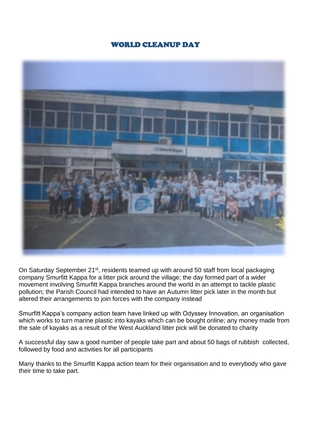## WORLD CLEANUP DAY



On Saturday September 21<sup>st</sup>, residents teamed up with around 50 staff from local packaging company Smurfitt Kappa for a litter pick around the village; the day formed part of a wider movement involving Smurfitt Kappa branches around the world in an attempt to tackle plastic pollution; the Parish Council had intended to have an Autumn litter pick later in the month but altered their arrangements to join forces with the company instead

Smurfitt Kappa's company action team have linked up with Odyssey Innovation, an organisation which works to turn marine plastic into kayaks which can be bought online; any money made from the sale of kayaks as a result of the West Auckland litter pick will be donated to charity

A successful day saw a good number of people take part and about 50 bags of rubbish collected, followed by food and activities for all participants

Many thanks to the Smurfitt Kappa action team for their organisation and to everybody who gave their time to take part.